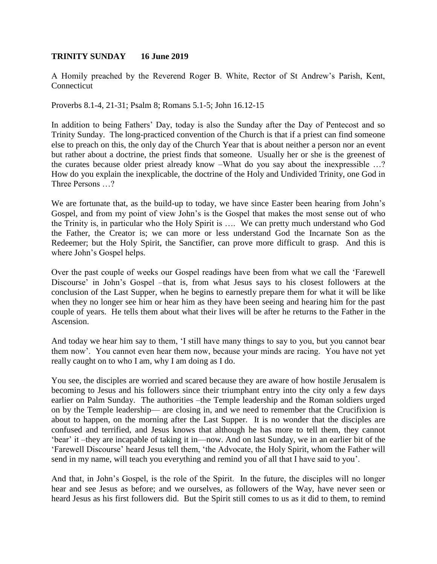## **TRINITY SUNDAY 16 June 2019**

A Homily preached by the Reverend Roger B. White, Rector of St Andrew's Parish, Kent, Connecticut

Proverbs 8.1-4, 21-31; Psalm 8; Romans 5.1-5; John 16.12-15

In addition to being Fathers' Day, today is also the Sunday after the Day of Pentecost and so Trinity Sunday. The long-practiced convention of the Church is that if a priest can find someone else to preach on this, the only day of the Church Year that is about neither a person nor an event but rather about a doctrine, the priest finds that someone. Usually her or she is the greenest of the curates because older priest already know –What do you say about the inexpressible …? How do you explain the inexplicable, the doctrine of the Holy and Undivided Trinity, one God in Three Persons …?

We are fortunate that, as the build-up to today, we have since Easter been hearing from John's Gospel, and from my point of view John's is the Gospel that makes the most sense out of who the Trinity is, in particular who the Holy Spirit is …. We can pretty much understand who God the Father, the Creator is; we can more or less understand God the Incarnate Son as the Redeemer; but the Holy Spirit, the Sanctifier, can prove more difficult to grasp. And this is where John's Gospel helps.

Over the past couple of weeks our Gospel readings have been from what we call the 'Farewell Discourse' in John's Gospel –that is, from what Jesus says to his closest followers at the conclusion of the Last Supper, when he begins to earnestly prepare them for what it will be like when they no longer see him or hear him as they have been seeing and hearing him for the past couple of years. He tells them about what their lives will be after he returns to the Father in the Ascension.

And today we hear him say to them, 'I still have many things to say to you, but you cannot bear them now'. You cannot even hear them now, because your minds are racing. You have not yet really caught on to who I am, why I am doing as I do.

You see, the disciples are worried and scared because they are aware of how hostile Jerusalem is becoming to Jesus and his followers since their triumphant entry into the city only a few days earlier on Palm Sunday. The authorities –the Temple leadership and the Roman soldiers urged on by the Temple leadership— are closing in, and we need to remember that the Crucifixion is about to happen, on the morning after the Last Supper. It is no wonder that the disciples are confused and terrified, and Jesus knows that although he has more to tell them, they cannot 'bear' it –they are incapable of taking it in—now. And on last Sunday, we in an earlier bit of the 'Farewell Discourse' heard Jesus tell them, 'the Advocate, the Holy Spirit, whom the Father will send in my name, will teach you everything and remind you of all that I have said to you'.

And that, in John's Gospel, is the role of the Spirit. In the future, the disciples will no longer hear and see Jesus as before; and we ourselves, as followers of the Way, have never seen or heard Jesus as his first followers did. But the Spirit still comes to us as it did to them, to remind